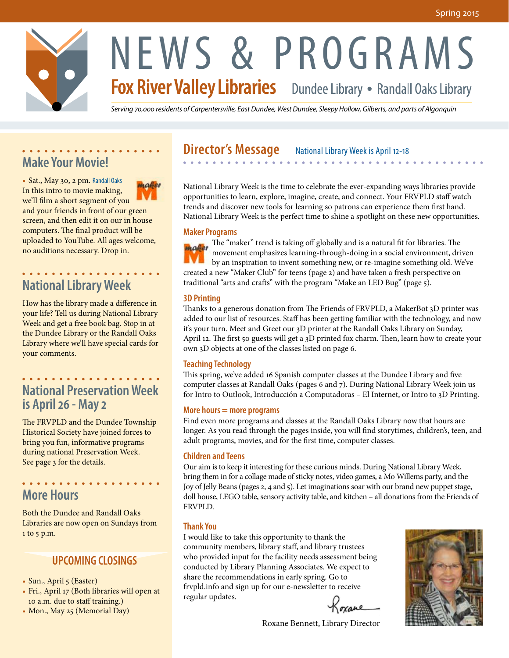

# NEWS & PROGRAMS<br>Fox River Valley Libraries Dundee Library • Randall Oaks Library

*Serving 70,000 residents of Carpentersville, East Dundee, West Dundee, Sleepy Hollow, Gilberts, and parts of Algonquin*

# **Make Your Movie!**

• Sat., May 30, 2 pm. Randall Oaks malier In this intro to movie making, we'll film a short segment of you and your friends in front of our green screen, and then edit it on our in house computers. The final product will be uploaded to YouTube. All ages welcome, no auditions necessary. Drop in.

. . . . . . . . . . . . . . . . . . .

#### . . . . . . . . . . . . . . . . . . . **National Library Week**

How has the library made a difference in your life? Tell us during National Library Week and get a free book bag. Stop in at the Dundee Library or the Randall Oaks Library where we'll have special cards for your comments.

#### . . . . . . . . . . . . . . . . . . **National Preservation Week is April 26 - May 2**

The FRVPLD and the Dundee Township Historical Society have joined forces to bring you fun, informative programs during national Preservation Week. See page 3 for the details.

. . . . . . . . . . . . . . . . . .

# **More Hours**

Both the Dundee and Randall Oaks Libraries are now open on Sundays from 1 to 5 p.m.

#### **UPCOMING CLOSINGS**

- Sun., April 5 (Easter)
- Fri., April 17 (Both libraries will open at 10 a.m. due to staff training.)
- Mon., May 25 (Memorial Day)

#### **Director's Message** National Library Week is April 12-18  $\mathbf{A} \times \mathbf{A} \times \mathbf{A} \times \mathbf{A} \times \mathbf{A} \times \mathbf{A} \times \mathbf{A} \times \mathbf{A} \times \mathbf{A}$

National Library Week is the time to celebrate the ever-expanding ways libraries provide opportunities to learn, explore, imagine, create, and connect. Your FRVPLD staff watch trends and discover new tools for learning so patrons can experience them first hand. National Library Week is the perfect time to shine a spotlight on these new opportunities.

#### **Maker Programs**

**The "maker" trend is taking off globally and is a natural fit for libraries. The** movement emphasizes learning-through-doing in a social environment, driven by an inspiration to invent something new, or re-imagine something old. We've created a new "Maker Club" for teens (page 2) and have taken a fresh perspective on traditional "arts and crafts" with the program "Make an LED Bug" (page 5).

#### **3D Printing**

Thanks to a generous donation from The Friends of FRVPLD, a MakerBot 3D printer was added to our list of resources. Staff has been getting familiar with the technology, and now it's your turn. Meet and Greet our 3D printer at the Randall Oaks Library on Sunday, April 12. The first 50 guests will get a 3D printed fox charm. Then, learn how to create your own 3D objects at one of the classes listed on page 6.

#### **Teaching Technology**

This spring, we've added 16 Spanish computer classes at the Dundee Library and five computer classes at Randall Oaks (pages 6 and 7). During National Library Week join us for Intro to Outlook, Introducción a Computadoras – El Internet, or Intro to 3D Printing.

#### **More hours = more programs**

Find even more programs and classes at the Randall Oaks Library now that hours are longer. As you read through the pages inside, you will find storytimes, children's, teen, and adult programs, movies, and for the first time, computer classes.

#### **Children and Teens**

Our aim is to keep it interesting for these curious minds. During National Library Week, bring them in for a collage made of sticky notes, video games, a Mo Willems party, and the Joy of Jelly Beans (pages 2, 4 and 5). Let imaginations soar with our brand new puppet stage, doll house, LEGO table, sensory activity table, and kitchen – all donations from the Friends of FRVPLD.

#### **Thank You**

I would like to take this opportunity to thank the community members, library staff, and library trustees who provided input for the facility needs assessment being conducted by Library Planning Associates. We expect to share the recommendations in early spring. Go to frvpld.info and sign up for our e-newsletter to receive regular updates. Koxane

Roxane Bennett, Library Director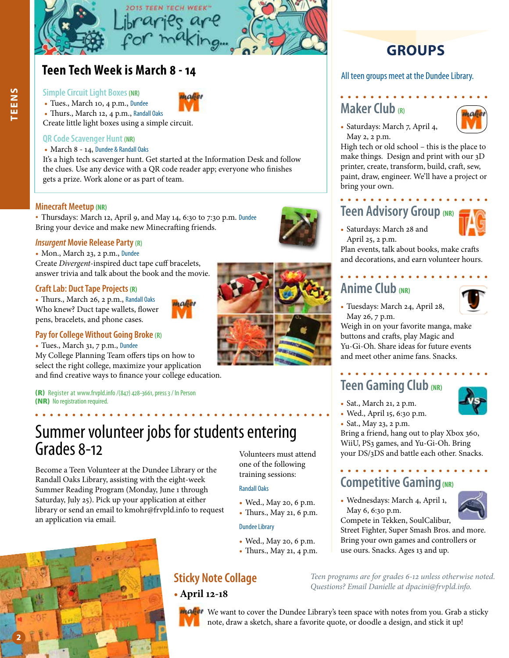

### **Teen Tech Week is March 8 - 14**

#### **Simple Circuit Light Boxes (NR)**

- Tues., March 10, 4 p.m., Dundee
- Thurs., March 12, 4 p.m., Randall Oaks

Create little light boxes using a simple circuit.

#### **QR Code Scavenger Hunt (NR)**

#### • March 8 - 14, Dundee & Randall Oaks

It's a high tech scavenger hunt. Get started at the Information Desk and follow the clues. Use any device with a QR code reader app; everyone who finishes gets a prize. Work alone or as part of team.

#### **Minecraft Meetup (NR)**

• Thursdays: March 12, April 9, and May 14, 6:30 to 7:30 p.m. Dundee Bring your device and make new Minecrafting friends.

#### *Insurgent* **Movie Release Party (R)**

- Mon., March 23, 2 p.m., Dundee Create *Divergent*-inspired duct tape cuff bracelets,
- answer trivia and talk about the book and the movie.

#### **Craft Lab: Duct Tape Projects (R)**

• Thurs., March 26, 2 p.m., Randall Oaks Who knew? Duct tape wallets, flower pens, bracelets, and phone cases.



#### **Pay for College Without Going Broke (R)**

• Tues., March 31, 7 p.m., Dundee My College Planning Team offers tips on how to select the right college, maximize your application and find creative ways to finance your college education.

(R) Register at www.frvpld.info /(847) 428-3661, press 3 / In Person (NR) No registration required.

# Summer volunteer jobs for students entering Grades 8-12

Become a Teen Volunteer at the Dundee Library or the Randall Oaks Library, assisting with the eight-week Summer Reading Program (Monday, June 1 through Saturday, July 25). Pick up your application at either library or send an email to kmohr@frvpld.info to request an application via email.





Volunteers must attend one of the following training sessions:

#### Randall Oaks

- Wed., May 20, 6 p.m.
- Thurs., May 21, 6 p.m.

#### Dundee Library

- Wed., May 20, 6 p.m.
- Thurs., May 21, 4 p.m.

#### **Sticky Note Collage**

• **April 12-18**

*Questions? Email Danielle at dpacini@frvpld.info.* 

### **GROUPS**

All teen groups meet at the Dundee Library.

#### **Maker Club (R)**



• Saturdays: March 7, April 4, May 2, 2 p.m.

High tech or old school – this is the place to make things. Design and print with our 3D printer, create, transform, build, craft, sew, paint, draw, engineer. We'll have a project or bring your own.

# **Teen Advisory Group (NR)**

- 
- Saturdays: March 28 and April 25, 2 p.m.

Plan events, talk about books, make crafts and decorations, and earn volunteer hours.

# **Anime Club (NR)**



• Tuesdays: March 24, April 28, May 26, 7 p.m.

Weigh in on your favorite manga, make buttons and crafts, play Magic and Yu-Gi-Oh. Share ideas for future events and meet other anime fans. Snacks.

# **Teen Gaming Club (NR)**

- Sat., March 21, 2 p.m.
- Wed., April 15, 6:30 p.m.
- Sat., May 23, 2 p.m.

Bring a friend, hang out to play Xbox 360, WiiU, PS3 games, and Yu-Gi-Oh. Bring your DS/3DS and battle each other. Snacks.

# **Competitive Gaming(NR)**

• Wednesdays: March 4, April 1, May 6, 6:30 p.m.



Compete in Tekken, SoulCalibur, Street Fighter, Super Smash Bros. and more. Bring your own games and controllers or use ours. Snacks. Ages 13 and up.

*Teen programs are for grades 6-12 unless otherwise noted.* 

**Maker** We want to cover the Dundee Library's teen space with notes from you. Grab a sticky note, draw a sketch, share a favorite quote, or doodle a design, and stick it up!

**TEENS**

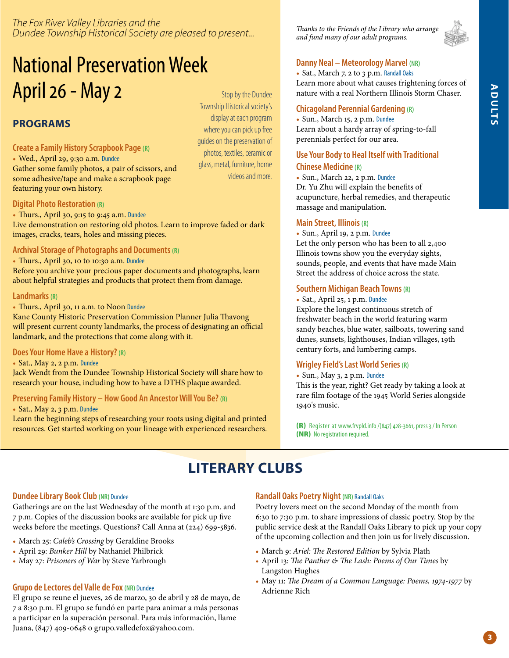#### *The Fox River Valley Libraries and the Dundee Township Historical Society are pleased to present...*

# National Preservation Week April 26 - May 2  $S_{\text{top by the Dundee}}$

### **PROGRAMS**

#### **Create a Family History Scrapbook Page (R)**

• Wed., April 29, 9:30 a.m. Dundee

Gather some family photos, a pair of scissors, and some adhesive/tape and make a scrapbook page featuring your own history.

Township Historical society's display at each program where you can pick up free guides on the preservation of photos, textiles, ceramic or glass, metal, furniture, home videos and more.

#### **Digital Photo Restoration (R)**

• Thurs., April 30, 9:15 to 9:45 a.m. Dundee

Live demonstration on restoring old photos. Learn to improve faded or dark images, cracks, tears, holes and missing pieces.

#### **Archival Storage of Photographs and Documents (R)**

• Thurs., April 30, 10 to 10:30 a.m. Dundee

Before you archive your precious paper documents and photographs, learn about helpful strategies and products that protect them from damage.

#### **Landmarks (R)**

• Thurs., April 30, 11 a.m. to Noon Dundee

Kane County Historic Preservation Commission Planner Julia Thavong will present current county landmarks, the process of designating an official landmark, and the protections that come along with it.

#### **Does Your Home Have a History? (R)**

• Sat., May 2, 2 p.m. Dundee

Jack Wendt from the Dundee Township Historical Society will share how to research your house, including how to have a DTHS plaque awarded.

#### **Preserving Family History – How Good An Ancestor Will You Be? (R)**

• Sat., May 2, 3 p.m. Dundee

Learn the beginning steps of researching your roots using digital and printed resources. Get started working on your lineage with experienced researchers.

*Thanks to the Friends of the Library who arrange and fund many of our adult programs.* 



#### **Danny Neal – Meteorology Marvel (NR)**

• Sat., March 7, 2 to 3 p.m. Randall Oaks Learn more about what causes frightening forces of nature with a real Northern Illinois Storm Chaser.

#### **Chicagoland Perennial Gardening (R)**

• Sun., March 15, 2 p.m. Dundee Learn about a hardy array of spring-to-fall perennials perfect for our area.

#### **Use Your Body to Heal Itself with Traditional Chinese Medicine (R)**

• Sun., March 22, 2 p.m. Dundee Dr. Yu Zhu will explain the benefits of acupuncture, herbal remedies, and therapeutic massage and manipulation.

#### **Main Street, Illinois (R)**

• Sun., April 19, 2 p.m. Dundee

Let the only person who has been to all 2,400 Illinois towns show you the everyday sights, sounds, people, and events that have made Main Street the address of choice across the state.

#### **Southern Michigan Beach Towns (R)**

• Sat., April 25, 1 p.m. Dundee Explore the longest continuous stretch of freshwater beach in the world featuring warm sandy beaches, blue water, sailboats, towering sand dunes, sunsets, lighthouses, Indian villages, 19th century forts, and lumbering camps.

#### **Wrigley Field's Last World Series (R)**

• Sun., May 3, 2 p.m. Dundee This is the year, right? Get ready by taking a look at rare film footage of the 1945 World Series alongside 1940's music.

(R) Register at www.frvpld.info /(847) 428-3661, press 3 / In Person (NR) No registration required.

# **LITERARY CLUBS**

#### **Dundee Library Book Club (NR)** Dundee

Gatherings are on the last Wednesday of the month at 1:30 p.m. and 7 p.m. Copies of the discussion books are available for pick up five weeks before the meetings. Questions? Call Anna at (224) 699-5836.

- March 25: *Caleb's Crossing* by Geraldine Brooks
- April 29: *Bunker Hill* by Nathaniel Philbrick
- May 27: *Prisoners of War* by Steve Yarbrough

#### **Grupo de Lectores del Valle de Fox (NR)** Dundee

El grupo se reune el jueves, 26 de marzo, 30 de abril y 28 de mayo, de 7 a 8:30 p.m. El grupo se fundó en parte para animar a más personas a participar en la superación personal. Para más información, llame Juana, (847) 409-0648 o grupo.valledefox@yahoo.com.

#### **Randall Oaks Poetry Night (NR)** Randall Oaks

Poetry lovers meet on the second Monday of the month from 6:30 to 7:30 p.m. to share impressions of classic poetry. Stop by the public service desk at the Randall Oaks Library to pick up your copy of the upcoming collection and then join us for lively discussion.

- March 9: *Ariel: The Restored Edition* by Sylvia Plath
- April 13: *The Panther & The Lash: Poems of Our Times* by Langston Hughes
- May 11: *The Dream of a Common Language: Poems, 1974-1977* by Adrienne Rich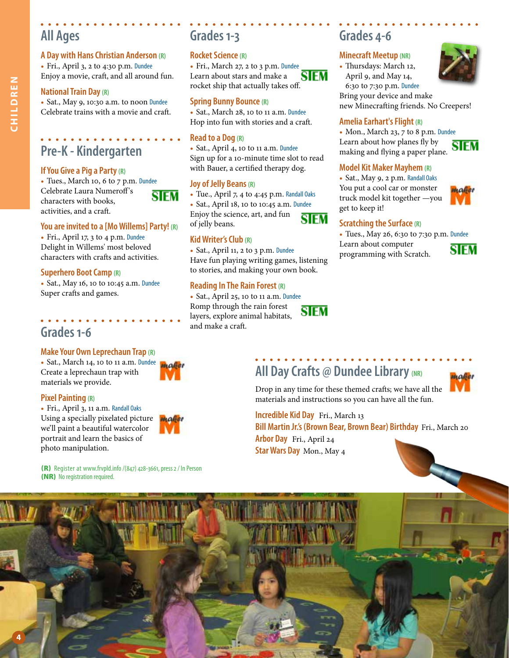# **All Ages**

#### **A Day with Hans Christian Anderson (R)**

• Fri., April 3, 2 to 4:30 p.m. Dundee Enjoy a movie, craft, and all around fun.

#### **National Train Day (R)**

• Sat., May 9, 10:30 a.m. to noon Dundee Celebrate trains with a movie and craft.

# **Pre-K - Kindergarten**

#### **If You Give a Pig a Party (R)**

• Tues., March 10, 6 to 7 p.m. Dundee Celebrate Laura Numeroff 's SIEM characters with books, activities, and a craft.

#### **You are invited to a [Mo Willems] Party! (R)**

• Fri., April 17, 3 to 4 p.m. Dundee Delight in Willems' most beloved characters with crafts and activities.

#### **Superhero Boot Camp (R)**

• Sat., May 16, 10 to 10:45 a.m. Dundee Super crafts and games.

#### **Grades 1-6**

#### **Make Your Own Leprechaun Trap (R)**

• Sat., March 14, 10 to 11 a.m. Dundee Create a leprechaun trap with materials we provide.

#### **Pixel Painting (R)**

• Fri., April 3, 11 a.m. Randall Oaks Using a specially pixelated picture we'll paint a beautiful watercolor portrait and learn the basics of photo manipulation.

мае

(R) Register at www.frvpld.info /(847) 428-3661, press 2 / In Person (NR) No registration required.

# **Grades 1-3**

#### **Rocket Science (R)**

• Fri., March 27, 2 to 3 p.m. Dundee Learn about stars and make a SIFM rocket ship that actually takes off.

#### **Spring Bunny Bounce (R)**

• Sat., March 28, 10 to 11 a.m. Dundee Hop into fun with stories and a craft.

#### **Read to a Dog (R)**

• Sat., April 4, 10 to 11 a.m. Dundee Sign up for a 10-minute time slot to read with Bauer, a certified therapy dog.

#### **Joy of Jelly Beans (R)**

• Tue., April 7, 4 to 4:45 p.m. Randall Oaks • Sat., April 18, 10 to 10:45 a.m. Dundee Enjoy the science, art, and fun SIFM of jelly beans.

#### **Kid Writer's Club (R)**

• Sat., April 11, 2 to 3 p.m. Dundee Have fun playing writing games, listening to stories, and making your own book.

#### **Reading In The Rain Forest (R)**

• Sat., April 25, 10 to 11 a.m. Dundee Romp through the rain forest SIEM layers, explore animal habitats, and make a craft.

# **Grades 4-6**

#### **Minecraft Meetup (NR)**

• Thursdays: March 12, April 9, and May 14, 6:30 to 7:30 p.m. Dundee



Bring your device and make new Minecrafting friends. No Creepers!

#### **Amelia Earhart's Flight (R)**

• Mon., March 23, 7 to 8 p.m. Dundee Learn about how planes fly by **SIEM** making and flying a paper plane.

#### **Model Kit Maker Mayhem (R)**

• Sat., May 9, 2 p.m. Randall Oaks You put a cool car or monster truck model kit together —you get to keep it!



#### **Scratching the Surface (R)**

• Tues., May 26, 6:30 to 7:30 p.m. Dundee Learn about computer **SIFM** programming with Scratch.



# **All Day Crafts @ Dundee Library (NR)**



Drop in any time for these themed crafts; we have all the materials and instructions so you can have all the fun.

**Incredible Kid Day** Fri., March 13 **Bill Martin Jr.'s (Brown Bear, Brown Bear) Birthday** Fri., March 20 **Arbor Day** Fri., April 24 **Star Wars Day** Mon., May 4

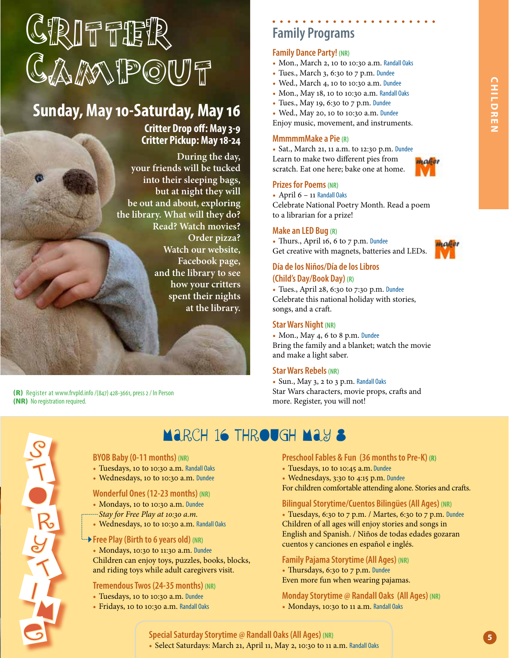# GRIFFIER CAMPOUT

# **Sunday, May 10-Saturday, May 16**

**Critter Drop off: May 3-9 Critter Pickup: May 18-24**

**During the day, your friends will be tucked into their sleeping bags, but at night they will be out and about, exploring the library. What will they do? Read? Watch movies? Order pizza? Watch our website, Facebook page, and the library to see how your critters spent their nights at the library.**

(R) Register at www.frvpld.info /(847) 428-3661, press 2 / In Person (NR) No registration required.



# March 16 through May 8

#### **BYOB Baby (0-11 months) (NR)**

- Tuesdays, 10 to 10:30 a.m. Randall Oaks
- Wednesdays, 10 to 10:30 a.m. Dundee

#### **Wonderful Ones (12-23 months) (NR)**

- Mondays, 10 to 10:30 a.m. Dundee
- *Stay for Free Play at 10:30 a.m.*
- Wednesdays, 10 to 10:30 a.m. Randall Oaks

#### **Free Play (Birth to 6 years old) (NR)**

• Mondays, 10:30 to 11:30 a.m. Dundee Children can enjoy toys, puzzles, books, blocks, and riding toys while adult caregivers visit.

#### **Tremendous Twos (24-35 months) (NR)**

- Tuesdays, 10 to 10:30 a.m. Dundee
- Fridays, 10 to 10:30 a.m. Randall Oaks

# **Family Programs**

#### **Family Dance Party! (NR)**

- Mon., March 2, 10 to 10:30 a.m. Randall Oaks
- Tues., March 3, 6:30 to 7 p.m. Dundee
- Wed., March 4, 10 to 10:30 a.m. Dundee
- Mon., May 18, 10 to 10:30 a.m. Randall Oaks
- Tues., May 19, 6:30 to 7 p.m. Dundee

• Wed., May 20, 10 to 10:30 a.m. Dundee Enjoy music, movement, and instruments.

#### **MmmmmMake a Pie (R)**

• Sat., March 21, 11 a.m. to 12:30 p.m. Dundee Learn to make two different pies from scratch. Eat one here; bake one at home.

#### **Prizes for Poems (NR)**

• April  $6 - 11$  Randall Oaks

Celebrate National Poetry Month. Read a poem to a librarian for a prize!

#### **Make an LED Bug (R)**

• Thurs., April 16, 6 to 7 p.m. Dundee Get creative with magnets, batteries and LEDs.



#### **Día de los Niños/Día de los Libros (Child's Day/Book Day) (R)**

• Tues., April 28, 6:30 to 7:30 p.m. Dundee Celebrate this national holiday with stories, songs, and a craft.

#### **Star Wars Night (NR)**

• Mon., May 4, 6 to 8 p.m. Dundee Bring the family and a blanket; watch the movie and make a light saber.

#### **Star Wars Rebels (NR)**

• Sun., May 3, 2 to 3 p.m. Randall Oaks Star Wars characters, movie props, crafts and more. Register, you will not!

**Preschool Fables & Fun (36 months to Pre-K) (R)**

For children comfortable attending alone. Stories and crafts.

**Bilingual Storytime/Cuentos Bilingües (All Ages) (NR)** • Tuesdays, 6:30 to 7 p.m. / Martes, 6:30 to 7 p.m. Dundee Children of all ages will enjoy stories and songs in English and Spanish. / Niños de todas edades gozaran

**Monday Storytime @ Randall Oaks (All Ages) (NR)**

• Tuesdays, 10 to 10:45 a.m. Dundee • Wednesdays, 3:30 to 4:15 p.m. Dundee

cuentos y canciones en español e inglés. **Family Pajama Storytime (All Ages) (NR)** • Thursdays, 6:30 to 7 p.m. Dundee Even more fun when wearing pajamas.

• Mondays, 10:30 to 11 a.m. Randall Oaks

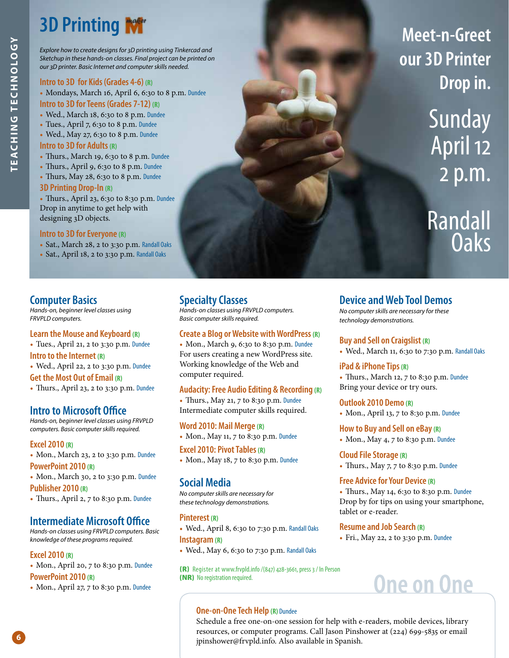# **3D Printing**

*Explore how to create designs for 3D printing using Tinkercad and Sketchup in these hands-on classes. Final project can be printed on our 3D printer. Basic Internet and computer skills needed.*

#### **Intro to 3D for Kids (Grades 4-6) (R)**

• Mondays, March 16, April 6, 6:30 to 8 p.m. Dundee **Intro to 3D for Teens (Grades 7-12) (R)**

- Wed., March 18, 6:30 to 8 p.m. Dundee
- Tues., April 7, 6:30 to 8 p.m. Dundee
- Wed., May 27, 6:30 to 8 p.m. Dundee

#### **Intro to 3D for Adults (R)**

- Thurs., March 19, 6:30 to 8 p.m. Dundee
- Thurs., April 9, 6:30 to 8 p.m. Dundee
- Thurs, May 28, 6:30 to 8 p.m. Dundee

#### **3D Printing Drop-In (R)**

• Thurs., April 23, 6:30 to 8:30 p.m. Dundee Drop in anytime to get help with designing 3D objects.

#### **Intro to 3D for Everyone (R)**

- Sat., March 28, 2 to 3:30 p.m. Randall Oaks
- Sat., April 18, 2 to 3:30 p.m. Randall Oaks

#### **Computer Basics**

*Hands-on, beginner level classes using FRVPLD computers.* 

#### **Learn the Mouse and Keyboard (R)**

• Tues., April 21, 2 to 3:30 p.m. Dundee **Intro to the Internet (R)** • Wed., April 22, 2 to 3:30 p.m. Dundee **Get the Most Out of Email (R)** • Thurs., April 23, 2 to 3:30 p.m. Dundee

#### **Intro to Microsoft Office**

*Hands-on, beginner level classes using FRVPLD computers. Basic computer skills required.*

#### **Excel 2010 (R)**

• Mon., March 23, 2 to 3:30 p.m. Dundee **PowerPoint 2010 (R)**

• Mon., March 30, 2 to 3:30 p.m. Dundee **Publisher 2010 (R)**

• Thurs., April 2, 7 to 8:30 p.m. Dundee

#### **Intermediate Microsoft Office**

*Hands-on classes using FRVPLD computers. Basic knowledge of these programs required.*

#### **Excel 2010 (R)**

**6**

• Mon., April 20, 7 to 8:30 p.m. Dundee **PowerPoint 2010 (R)**

• Mon., April 27, 7 to 8:30 p.m. Dundee

#### **Specialty Classes**

*Hands-on classes using FRVPLD computers. Basic computer skills required.*

#### **Create a Blog or Website with WordPress (R)**

• Mon., March 9, 6:30 to 8:30 p.m. Dundee For users creating a new WordPress site. Working knowledge of the Web and computer required.

#### **Audacity: Free Audio Editing & Recording (R)**

• Thurs., May 21, 7 to 8:30 p.m. Dundee Intermediate computer skills required.

#### **Word 2010: Mail Merge (R)**

• Mon., May 11, 7 to 8:30 p.m. Dundee

**Excel 2010: Pivot Tables (R)**

• Mon., May 18, 7 to 8:30 p.m. Dundee

#### **Social Media**

*No computer skills are necessary for these technology demonstrations.*

#### **Pinterest (R)**

- Wed., April 8, 6:30 to 7:30 p.m. Randall Oaks **Instagram (R)**
- Wed., May 6, 6:30 to 7:30 p.m. Randall 0aks

(R) Register at www.frvpld.info /(847) 428-3661, press 3 / In Person (NR) No registration required.

#### **Device and Web Tool Demos**

*No computer skills are necessary for these technology demonstrations.*

#### **Buy and Sell on Craigslist (R)**

• Wed., March 11, 6:30 to 7:30 p.m. Randall Oaks

**Meet-n-Greet** 

**our 3D Printer**

**Drop in.**

Sunday

April 12

2 p.m.

Randall

Oaks

#### **iPad & iPhone Tips (R)**

• Thurs., March 12, 7 to 8:30 p.m. Dundee Bring your device or try ours.

#### **Outlook 2010 Demo (R)**

• Mon., April 13, 7 to 8:30 p.m. Dundee

#### **How to Buy and Sell on eBay (R)**

• Mon., May 4, 7 to 8:30 p.m. Dundee

**Cloud File Storage (R)** • Thurs., May 7, 7 to 8:30 p.m. Dundee

#### **Free Advice for Your Device (R)**

• Thurs., May 14, 6:30 to 8:30 p.m. Dundee Drop by for tips on using your smartphone, tablet or e-reader.

#### **Resume and Job Search (R)**

• Fri., May 22, 2 to 3:30 p.m. Dundee

# **One on One**

#### **One-on-One Tech Help (R)** Dundee

Schedule a free one-on-one session for help with e-readers, mobile devices, library resources, or computer programs. Call Jason Pinshower at (224) 699-5835 or email jpinshower@frvpld.info. Also available in Spanish.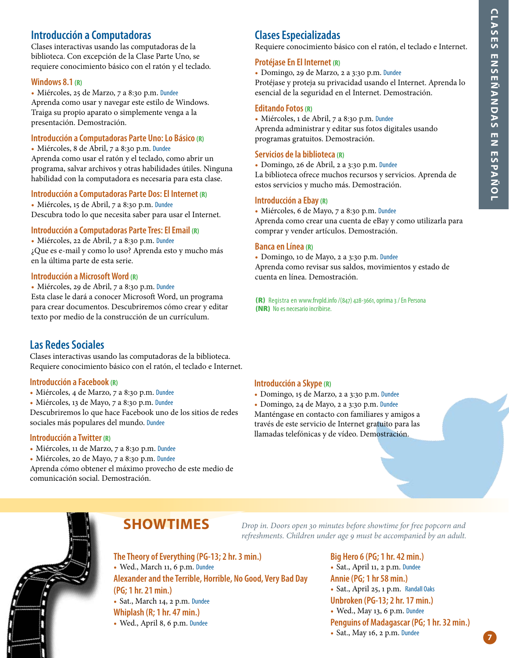#### **Introducción a Computadoras**

Clases interactivas usando las computadoras de la biblioteca. Con excepción de la Clase Parte Uno, se requiere conocimiento básico con el ratón y el teclado.

#### **Windows 8.1 (R)**

• Miércoles, 25 de Marzo, 7 a 8:30 p.m. Dundee Aprenda como usar y navegar este estilo de Windows. Traiga su propio aparato o simplemente venga a la presentación. Demostración.

#### **Introducción a Computadoras Parte Uno: Lo Básico (R)**

• Miércoles, 8 de Abril, 7 a 8:30 p.m. Dundee Aprenda como usar el ratón y el teclado, como abrir un programa, salvar archivos y otras habilidades útiles. Ninguna habilidad con la computadora es necesaria para esta clase.

#### **Introducción a Computadoras Parte Dos: El Internet (R)**

• Miércoles, 15 de Abril, 7 a 8:30 p.m. Dundee Descubra todo lo que necesita saber para usar el Internet.

#### **Introducción a Computadoras Parte Tres: El Email (R)**

• Miércoles, 22 de Abril, 7 a 8:30 p.m. Dundee ¿Que es e-mail y como lo uso? Aprenda esto y mucho más en la última parte de esta serie.

#### **Introducción a Microsoft Word (R)**

• Miércoles, 29 de Abril, 7 a 8:30 p.m. Dundee Esta clase le dará a conocer Microsoft Word, un programa para crear documentos. Descubriremos cómo crear y editar texto por medio de la construcción de un currículum.

#### **Las Redes Sociales**

Clases interactivas usando las computadoras de la biblioteca. Requiere conocimiento básico con el ratón, el teclado e Internet.

#### **Introducción a Facebook (R)**

- Miércoles, 4 de Marzo, 7 a 8:30 p.m. Dundee
- Miércoles, 13 de Mayo, 7 a 8:30 p.m. Dundee

Descubriremos lo que hace Facebook uno de los sitios de redes sociales más populares del mundo. Dundee

#### **Introducción a Twitter (R)**

- Miércoles, 11 de Marzo, 7 a 8:30 p.m. Dundee
- Miércoles, 20 de Mayo, 7 a 8:30 p.m. Dundee

Aprenda cómo obtener el máximo provecho de este medio de comunicación social. Demostración.

#### **Clases Especializadas**

Requiere conocimiento básico con el ratón, el teclado e Internet.

#### **Protéjase En El Internet (R)**

• Domingo, 29 de Marzo, 2 a 3:30 p.m. Dundee Protéjase y proteja su privacidad usando el Internet. Aprenda lo esencial de la seguridad en el Internet. Demostración.

#### **Editando Fotos (R)**

• Miércoles, 1 de Abril, 7 a 8:30 p.m. Dundee Aprenda administrar y editar sus fotos digitales usando programas gratuitos. Demostración.

#### **Servicios de la biblioteca (R)**

• Domingo, 26 de Abril, 2 a 3:30 p.m. Dundee La biblioteca ofrece muchos recursos y servicios. Aprenda de estos servicios y mucho más. Demostración.

#### **Introducción a Ebay (R)**

• Miércoles, 6 de Mayo, 7 a 8:30 p.m. Dundee

Aprenda como crear una cuenta de eBay y como utilizarla para comprar y vender artículos. Demostración.

#### **Banca en Línea (R)**

• Domingo, 10 de Mayo, 2 a 3:30 p.m. Dundee Aprenda como revisar sus saldos, movimientos y estado de cuenta en línea. Demostración.

(R) Registra en www.frvpld.info /(847) 428-3661, oprima 3 / En Persona (NR) No es necesario incribirse.

#### **Introducción a Skype (R)**

• Domingo, 15 de Marzo, 2 a 3:30 p.m. Dundee

• Domingo, 24 de Mayo, 2 a 3:30 p.m. Dundee Manténgase en contacto con familiares y amigos a través de este servicio de Internet gratuito para las llamadas telefónicas y de vídeo. Demostración.

# **The Theory of Everything (PG-13; 2 hr. 3 min.) SHOWTIMES**

• Wed., March 11, 6 p.m. Dundee

**Alexander and the Terrible, Horrible, No Good, Very Bad Day (PG; 1 hr. 21 min.)** • Sat., March 14, 2 p.m. Dundee **Whiplash (R; 1 hr. 47 min.)**

• Wed., April 8, 6 p.m. Dundee

*Drop in. Doors open 30 minutes before showtime for free popcorn and refreshments. Children under age 9 must be accompanied by an adult.*

> **Big Hero 6 (PG; 1 hr. 42 min.)** • Sat., April 11, 2 p.m. Dundee **Annie (PG; 1 hr 58 min.)** • Sat., April 25, 1 p.m. Randall Oaks **Unbroken (PG-13; 2 hr. 17 min.)** • Wed., May 13, 6 p.m. Dundee **Penguins of Madagascar (PG; 1 hr. 32 min.)** • Sat., May 16, 2 p.m. Dundee